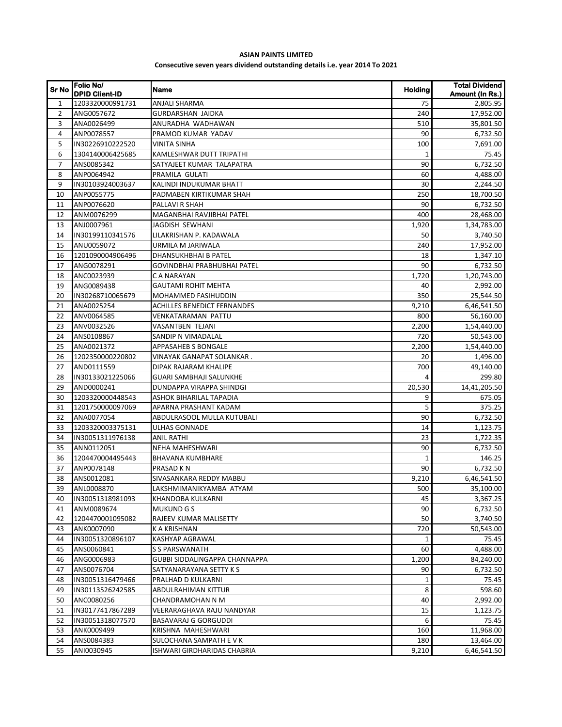## **ASIAN PAINTS LIMITED Consecutive seven years dividend outstanding details i.e. year 2014 To 2021**

| Sr No          | Folio No/<br><b>DPID Client-ID</b> | <b>Name</b>                        | Holding      | <b>Total Dividend</b><br>Amount (In Rs.) |
|----------------|------------------------------------|------------------------------------|--------------|------------------------------------------|
| $\mathbf{1}$   | 1203320000991731                   | <b>ANJALI SHARMA</b>               | 75           | 2,805.95                                 |
| $\overline{2}$ | ANG0057672                         | <b>GURDARSHAN JAIDKA</b>           | 240          | 17,952.00                                |
| 3              | ANA0026499                         | ANURADHA WADHAWAN                  | 510          | 35,801.50                                |
| 4              | ANP0078557                         | PRAMOD KUMAR YADAV                 | 90           | 6,732.50                                 |
| 5              | IN30226910222520                   | VINITA SINHA                       | 100          | 7,691.00                                 |
| 6              | 1304140006425685                   | KAMLESHWAR DUTT TRIPATHI           | 1            | 75.45                                    |
| $\overline{7}$ | ANS0085342                         | SATYAJEET KUMAR TALAPATRA          | 90           | 6,732.50                                 |
| 8              | ANP0064942                         | PRAMILA GULATI                     | 60           | 4,488.00                                 |
| 9              | IN30103924003637                   | KALINDI INDUKUMAR BHATT            | 30           | 2,244.50                                 |
| 10             | ANP0055775                         | PADMABEN KIRTIKUMAR SHAH           | 250          | 18,700.50                                |
| 11             | ANP0076620                         | PALLAVI R SHAH                     | 90           | 6,732.50                                 |
| 12             | ANM0076299                         | MAGANBHAI RAVJIBHAI PATEL          | 400          | 28,468.00                                |
| 13             | ANJ0007961                         | JAGDISH SEWHANI                    | 1,920        | 1,34,783.00                              |
| 14             | IN30199110341576                   | LILAKRISHAN P. KADAWALA            | 50           | 3,740.50                                 |
| 15             | ANU0059072                         | URMILA M JARIWALA                  | 240          | 17,952.00                                |
| 16             | 1201090004906496                   | DHANSUKHBHAI B PATEL               | 18           | 1,347.10                                 |
| 17             | ANG0078291                         | GOVINDBHAI PRABHUBHAI PATEL        | 90           | 6,732.50                                 |
| 18             | ANC0023939                         | C A NARAYAN                        | 1,720        | 1,20,743.00                              |
| 19             | ANG0089438                         | <b>GAUTAMI ROHIT MEHTA</b>         | 40           | 2,992.00                                 |
| 20             | IN30268710065679                   | <b>MOHAMMED FASIHUDDIN</b>         | 350          | 25,544.50                                |
| 21             | ANA0025254                         | <b>ACHILLES BENEDICT FERNANDES</b> | 9,210        | 6,46,541.50                              |
| 22             | ANV0064585                         | VENKATARAMAN PATTU                 | 800          | 56,160.00                                |
| 23             | ANV0032526                         | VASANTBEN TEJANI                   | 2,200        | 1,54,440.00                              |
| 24             | ANS0108867                         | SANDIP N VIMADALAL                 | 720          | 50,543.00                                |
| 25             | ANA0021372                         | <b>APPASAHEB S BONGALE</b>         | 2,200        | 1,54,440.00                              |
| 26             | 1202350000220802                   | VINAYAK GANAPAT SOLANKAR.          | 20           | 1,496.00                                 |
| 27             | AND0111559                         | DIPAK RAJARAM KHALIPE              | 700          | 49,140.00                                |
| 28             | IN30133021225066                   | <b>GUARI SAMBHAJI SALUNKHE</b>     | 4            | 299.80                                   |
| 29             | AND0000241                         | DUNDAPPA VIRAPPA SHINDGI           | 20,530       | 14,41,205.50                             |
| 30             | 1203320000448543                   | ASHOK BIHARILAL TAPADIA            | 9            | 675.05                                   |
| 31             | 1201750000097069                   | APARNA PRASHANT KADAM              | 5            | 375.25                                   |
| 32             | ANA0077054                         | ABDULRASOOL MULLA KUTUBALI         | 90           | 6,732.50                                 |
| 33             | 1203320003375131                   | <b>ULHAS GONNADE</b>               | 14           | 1,123.75                                 |
| 34             | IN30051311976138                   | <b>ANIL RATHI</b>                  | 23           | 1,722.35                                 |
| 35             | ANN0112051                         | NEHA MAHESHWARI                    | 90           | 6,732.50                                 |
| 36             | 1204470004495443                   | <b>BHAVANA KUMBHARE</b>            | $\mathbf{1}$ | 146.25                                   |
| 37             | ANP0078148                         | PRASAD K N                         | 90           | 6,732.50                                 |
| 38             | ANS0012081                         | SIVASANKARA REDDY MABBU            | 9,210        | 6,46,541.50                              |
| 39             | ANL0008870                         | LAKSHMIMANIKYAMBA ATYAM            | 500          | 35,100.00                                |
| 40             | IN30051318981093                   | KHANDOBA KULKARNI                  | 45           | 3,367.25                                 |
| 41             | ANM0089674                         | <b>MUKUND G S</b>                  | 90           | 6,732.50                                 |
| 42             | 1204470001095082                   | RAJEEV KUMAR MALISETTY             | 50           | 3,740.50                                 |
| 43             | ANK0007090                         | K A KRISHNAN                       | 720          | 50,543.00                                |
| 44             | IN30051320896107                   | KASHYAP AGRAWAL                    | 1            | 75.45                                    |
| 45             | ANS0060841                         | <b>S S PARSWANATH</b>              | 60           | 4,488.00                                 |
| 46             | ANG0006983                         | GUBBI SIDDALINGAPPA CHANNAPPA      | 1,200        | 84,240.00                                |
| 47             | ANS0076704                         | SATYANARAYANA SETTY K S            | 90           | 6,732.50                                 |
| 48             | IN30051316479466                   | PRALHAD D KULKARNI                 | 1            | 75.45                                    |
| 49             | IN30113526242585                   | ABDULRAHIMAN KITTUR                | 8            | 598.60                                   |
| 50             | ANC0080256                         | CHANDRAMOHAN N M                   | 40           | 2,992.00                                 |
| 51             | IN30177417867289                   | VEERARAGHAVA RAJU NANDYAR          | 15           | 1,123.75                                 |
| 52             | IN30051318077570                   | BASAVARAJ G GORGUDDI               | 6            | 75.45                                    |
| 53             | ANK0009499                         | KRISHNA MAHESHWARI                 | 160          | 11,968.00                                |
| 54             | ANS0084383                         | SULOCHANA SAMPATH E V K            | 180          | 13,464.00                                |
| 55             | ANI0030945                         | ISHWARI GIRDHARIDAS CHABRIA        | 9,210        | 6,46,541.50                              |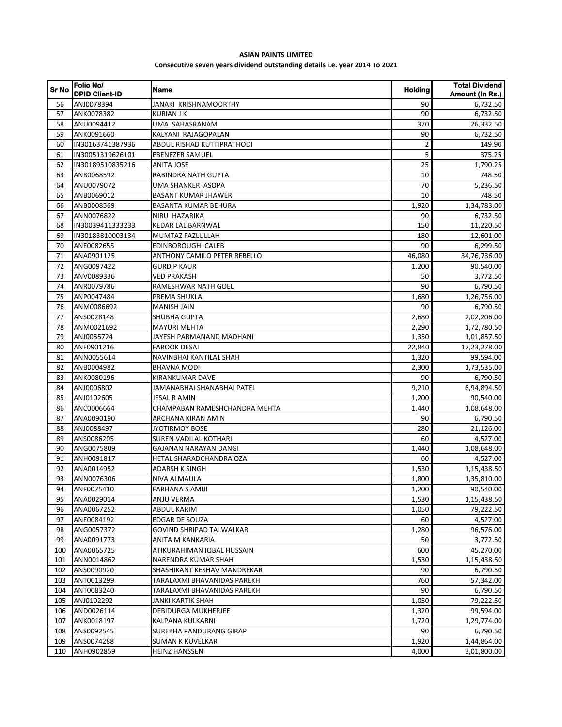## **ASIAN PAINTS LIMITED Consecutive seven years dividend outstanding details i.e. year 2014 To 2021**

| <b>Sr No</b> | Folio No/<br><b>DPID Client-ID</b> | Name                          | <b>Holding</b> | <b>Total Dividend</b><br>Amount (In Rs.) |
|--------------|------------------------------------|-------------------------------|----------------|------------------------------------------|
| 56           | ANJ0078394                         | JANAKI KRISHNAMOORTHY         | 90             | 6,732.50                                 |
| 57           | ANK0078382                         | <b>KURIAN J K</b>             | 90             | 6,732.50                                 |
| 58           | ANU0094412                         | UMA SAHASRANAM                | 370            | 26,332.50                                |
| 59           | ANK0091660                         | KALYANI RAJAGOPALAN           | 90             | 6,732.50                                 |
| 60           | IN30163741387936                   | ABDUL RISHAD KUTTIPRATHODI    | 2              | 149.90                                   |
| 61           | IN30051319626101                   | <b>EBENEZER SAMUEL</b>        | 5              | 375.25                                   |
| 62           | IN30189510835216                   | ANITA JOSE                    | 25             | 1,790.25                                 |
| 63           | ANR0068592                         | RABINDRA NATH GUPTA           | 10             | 748.50                                   |
| 64           | ANU0079072                         | UMA SHANKER ASOPA             | 70             | 5.236.50                                 |
| 65           | ANB0069012                         | <b>BASANT KUMAR JHAWER</b>    | 10             | 748.50                                   |
| 66           | ANB0008569                         | BASANTA KUMAR BEHURA          | 1,920          | 1,34,783.00                              |
| 67           | ANN0076822                         | NIRU HAZARIKA                 | 90             | 6,732.50                                 |
| 68           | IN30039411333233                   | KEDAR LAL BARNWAL             | 150            | 11,220.50                                |
| 69           | IN30183810003134                   | MUMTAZ FAZLULLAH              | 180            | 12,601.00                                |
| 70           | ANE0082655                         | EDINBOROUGH CALEB             | 90             | 6,299.50                                 |
| 71           | ANA0901125                         | ANTHONY CAMILO PETER REBELLO  | 46,080         | 34,76,736.00                             |
| 72           | ANG0097422                         | <b>GURDIP KAUR</b>            | 1,200          | 90,540.00                                |
| 73           | ANV0089336                         | <b>VED PRAKASH</b>            | 50             | 3,772.50                                 |
| 74           | ANR0079786                         | RAMESHWAR NATH GOEL           | 90             | 6,790.50                                 |
| 75           | ANP0047484                         | PREMA SHUKLA                  | 1,680          | 1,26,756.00                              |
| 76           | ANM0086692                         | MANISH JAIN                   | 90             | 6,790.50                                 |
| 77           | ANS0028148                         | SHUBHA GUPTA                  | 2,680          | 2,02,206.00                              |
| 78           | ANM0021692                         | <b>MAYURI MEHTA</b>           | 2,290          | 1,72,780.50                              |
| 79           | ANJ0055724                         | JAYESH PARMANAND MADHANI      | 1,350          | 1,01,857.50                              |
| 80           | ANF0901216                         | <b>FAROOK DESAI</b>           | 22,840         | 17,23,278.00                             |
| 81           | ANN0055614                         | NAVINBHAI KANTILAL SHAH       | 1,320          | 99,594.00                                |
| 82           | ANB0004982                         | <b>BHAVNA MODI</b>            | 2,300          | 1,73,535.00                              |
| 83           | ANK0080196                         | KIRANKUMAR DAVE               | 90             | 6,790.50                                 |
| 84           | ANJ0006802                         | JAMANABHAI SHANABHAI PATEL    | 9,210          | 6,94,894.50                              |
| 85           | ANJ0102605                         | JESAL R AMIN                  | 1,200          | 90,540.00                                |
| 86           | ANC0006664                         | CHAMPABAN RAMESHCHANDRA MEHTA | 1,440          | 1,08,648.00                              |
| 87           | ANA0090190                         | ARCHANA KIRAN AMIN            | 90             | 6,790.50                                 |
| 88           | ANJ0088497                         | <b>JYOTIRMOY BOSE</b>         | 280            | 21,126.00                                |
| 89           | ANS0086205                         | <b>SUREN VADILAL KOTHARI</b>  | 60             | 4,527.00                                 |
| 90           | ANG0075809                         | GAJANAN NARAYAN DANGI         | 1,440          | 1,08,648.00                              |
| 91           | ANH0091817                         | HETAL SHARADCHANDRA OZA       | 60             | 4,527.00                                 |
| 92           | ANA0014952                         | <b>ADARSH K SINGH</b>         | 1,530          | 1,15,438.50                              |
| 93           | ANN0076306                         | NIVA ALMAULA                  | 1,800          | 1,35,810.00                              |
| 94           | ANF0075410                         | <b>FARHANA S AMIJI</b>        | 1,200          | 90,540.00                                |
| 95           | ANA0029014                         | ANJU VERMA                    | 1,530          | 1,15,438.50                              |
| 96           | ANA0067252                         | ABDUL KARIM                   | 1,050          | 79,222.50                                |
| 97           | ANE0084192                         | <b>EDGAR DE SOUZA</b>         | 60             | 4,527.00                                 |
| 98           | ANG0057372                         | GOVIND SHRIPAD TALWALKAR      | 1,280          | 96,576.00                                |
| 99           | ANA0091773                         | ANITA M KANKARIA              | 50             | 3,772.50                                 |
| 100          | ANA0065725                         | ATIKURAHIMAN IQBAL HUSSAIN    | 600            | 45,270.00                                |
| 101          | ANN0014862                         | NARENDRA KUMAR SHAH           | 1,530          | 1,15,438.50                              |
| 102          | ANS0090920                         | SHASHIKANT KESHAV MANDREKAR   | 90             | 6,790.50                                 |
| 103          | ANT0013299                         | TARALAXMI BHAVANIDAS PAREKH   | 760            | 57,342.00                                |
| 104          | ANT0083240                         | TARALAXMI BHAVANIDAS PAREKH   | 90             | 6,790.50                                 |
| 105          | ANJ0102292                         | JANKI KARTIK SHAH             | 1,050          | 79,222.50                                |
| 106          | AND0026114                         | DEBIDURGA MUKHERJEE           | 1,320          | 99,594.00                                |
| 107          | ANK0018197                         | KALPANA KULKARNI              | 1,720          | 1,29,774.00                              |
| 108          | ANS0092545                         | SUREKHA PANDURANG GIRAP       | 90             | 6,790.50                                 |
| 109          | ANS0074288                         | SUMAN K KUVELKAR              | 1,920          | 1,44,864.00                              |
| 110          | ANH0902859                         | HEINZ HANSSEN                 | 4,000          | 3,01,800.00                              |